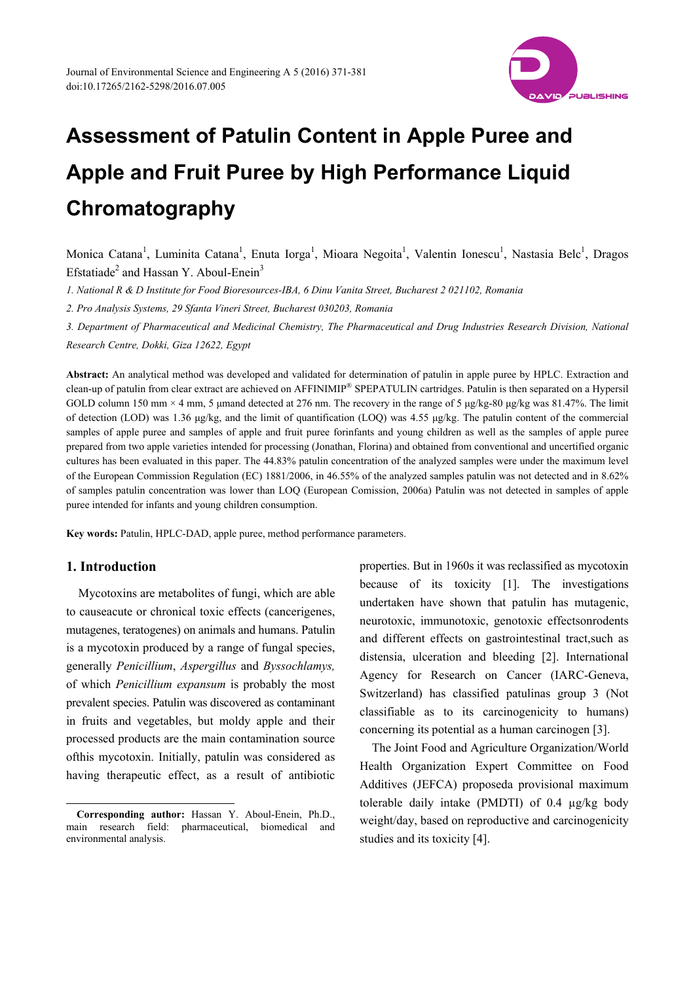

Monica Catana<sup>1</sup>, Luminita Catana<sup>1</sup>, Enuta Iorga<sup>1</sup>, Mioara Negoita<sup>1</sup>, Valentin Ionescu<sup>1</sup>, Nastasia Belc<sup>1</sup>, Dragos Efstatiade<sup>2</sup> and Hassan Y. Aboul-Enein<sup>3</sup>

*1. National R & D Institute for Food Bioresources-IBA, 6 Dinu Vanita Street, Bucharest 2 021102, Romania* 

*2. Pro Analysis Systems, 29 Sfanta Vineri Street, Bucharest 030203, Romania* 

*3. Department of Pharmaceutical and Medicinal Chemistry, The Pharmaceutical and Drug Industries Research Division, National Research Centre, Dokki, Giza 12622, Egypt* 

**Abstract:** An analytical method was developed and validated for determination of patulin in apple puree by HPLC. Extraction and clean-up of patulin from clear extract are achieved on AFFINIMIP® SPEPATULIN cartridges. Patulin is then separated on a Hypersil GOLD column 150 mm × 4 mm, 5 μmand detected at 276 nm. The recovery in the range of 5 μg/kg-80 μg/kg was 81.47%. The limit of detection (LOD) was 1.36 μg/kg, and the limit of quantification (LOQ) was 4.55 μg/kg. The patulin content of the commercial samples of apple puree and samples of apple and fruit puree forinfants and young children as well as the samples of apple puree prepared from two apple varieties intended for processing (Jonathan, Florina) and obtained from conventional and uncertified organic cultures has been evaluated in this paper. The 44.83% patulin concentration of the analyzed samples were under the maximum level of the European Commission Regulation (EC) 1881/2006, in 46.55% of the analyzed samples patulin was not detected and in 8.62% of samples patulin concentration was lower than LOQ (European Comission, 2006a) Patulin was not detected in samples of apple puree intended for infants and young children consumption.

**Key words:** Patulin, HPLC-DAD, apple puree, method performance parameters.

# **1. Introduction**

 $\overline{a}$ 

Mycotoxins are metabolites of fungi, which are able to causeacute or chronical toxic effects (cancerigenes, mutagenes, teratogenes) on animals and humans. Patulin is a mycotoxin produced by a range of fungal species, generally *Penicillium*, *Aspergillus* and *Byssochlamys,*  of which *Penicillium expansum* is probably the most prevalent species. Patulin was discovered as contaminant in fruits and vegetables, but moldy apple and their processed products are the main contamination source ofthis mycotoxin. Initially, patulin was considered as having therapeutic effect, as a result of antibiotic properties. But in 1960s it was reclassified as mycotoxin because of its toxicity [1]. The investigations undertaken have shown that patulin has mutagenic, neurotoxic, immunotoxic, genotoxic effectsonrodents and different effects on gastrointestinal tract,such as distensia, ulceration and bleeding [2]. International Agency for Research on Cancer (IARC-Geneva, Switzerland) has classified patulinas group 3 (Not classifiable as to its carcinogenicity to humans) concerning its potential as a human carcinogen [3].

The Joint Food and Agriculture Organization/World Health Organization Expert Committee on Food Additives (JEFCA) proposeda provisional maximum tolerable daily intake (PMDTI) of 0.4 µg/kg body weight/day, based on reproductive and carcinogenicity studies and its toxicity [4].

**Corresponding author:** Hassan Y. Aboul-Enein, Ph.D., main research field: pharmaceutical, biomedical and environmental analysis.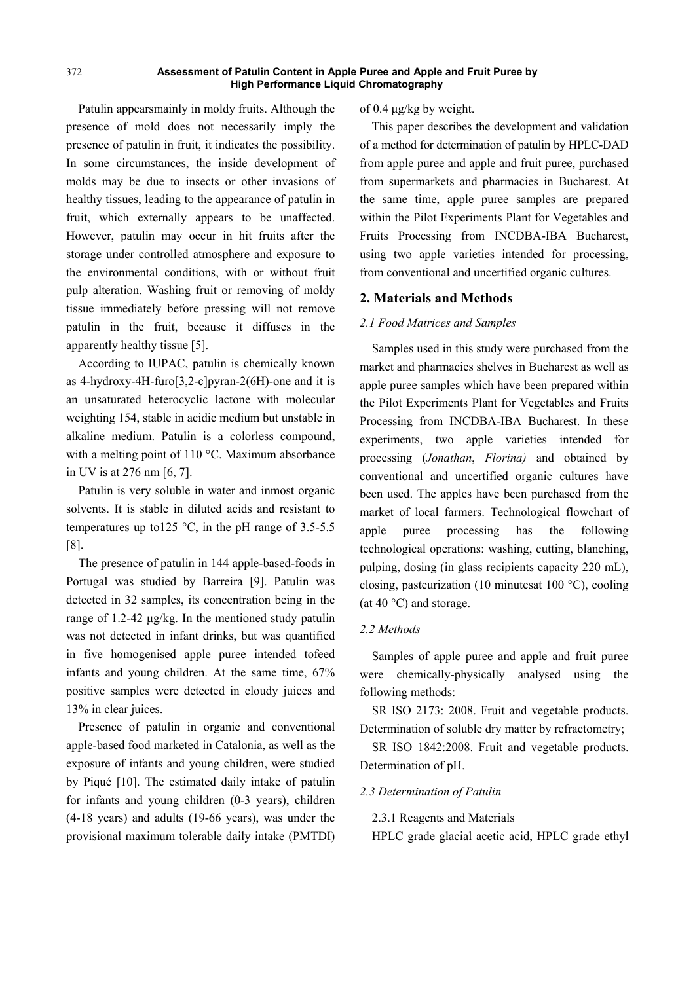Patulin appearsmainly in moldy fruits. Although the presence of mold does not necessarily imply the presence of patulin in fruit, it indicates the possibility. In some circumstances, the inside development of molds may be due to insects or other invasions of healthy tissues, leading to the appearance of patulin in fruit, which externally appears to be unaffected. However, patulin may occur in hit fruits after the storage under controlled atmosphere and exposure to the environmental conditions, with or without fruit pulp alteration. Washing fruit or removing of moldy tissue immediately before pressing will not remove patulin in the fruit, because it diffuses in the apparently healthy tissue [5].

According to IUPAC, patulin is chemically known as 4-hydroxy-4H-furo[3,2-c]pyran-2(6H)-one and it is an unsaturated heterocyclic lactone with molecular weighting 154, stable in acidic medium but unstable in alkaline medium. Patulin is a colorless compound, with a melting point of 110 °C. Maximum absorbance in UV is at 276 nm [6, 7].

Patulin is very soluble in water and inmost organic solvents. It is stable in diluted acids and resistant to temperatures up to125 °C, in the pH range of 3.5-5.5 [8].

The presence of patulin in 144 apple-based-foods in Portugal was studied by Barreira [9]. Patulin was detected in 32 samples, its concentration being in the range of 1.2-42 μg/kg. In the mentioned study patulin was not detected in infant drinks, but was quantified in five homogenised apple puree intended tofeed infants and young children. At the same time, 67% positive samples were detected in cloudy juices and 13% in clear juices.

Presence of patulin in organic and conventional apple-based food marketed in Catalonia, as well as the exposure of infants and young children, were studied by Piqué [10]. The estimated daily intake of patulin for infants and young children (0-3 years), children (4-18 years) and adults (19-66 years), was under the provisional maximum tolerable daily intake (PMTDI) of 0.4 μg/kg by weight.

This paper describes the development and validation of a method for determination of patulin by HPLC-DAD from apple puree and apple and fruit puree, purchased from supermarkets and pharmacies in Bucharest. At the same time, apple puree samples are prepared within the Pilot Experiments Plant for Vegetables and Fruits Processing from INCDBA-IBA Bucharest, using two apple varieties intended for processing, from conventional and uncertified organic cultures.

## **2. Materials and Methods**

#### *2.1 Food Matrices and Samples*

Samples used in this study were purchased from the market and pharmacies shelves in Bucharest as well as apple puree samples which have been prepared within the Pilot Experiments Plant for Vegetables and Fruits Processing from INCDBA-IBA Bucharest. In these experiments, two apple varieties intended for processing (*Jonathan*, *Florina)* and obtained by conventional and uncertified organic cultures have been used. The apples have been purchased from the market of local farmers. Technological flowchart of apple puree processing has the following technological operations: washing, cutting, blanching, pulping, dosing (in glass recipients capacity 220 mL), closing, pasteurization (10 minutesat 100 °C), cooling (at 40 $\degree$ C) and storage.

#### *2.2 Methods*

Samples of apple puree and apple and fruit puree were chemically-physically analysed using the following methods:

SR ISO 2173: 2008. Fruit and vegetable products. Determination of soluble dry matter by refractometry;

SR ISO 1842:2008. Fruit and vegetable products. Determination of pH.

#### *2.3 Determination of Patulin*

2.3.1 Reagents and Materials

HPLC grade glacial acetic acid, HPLC grade ethyl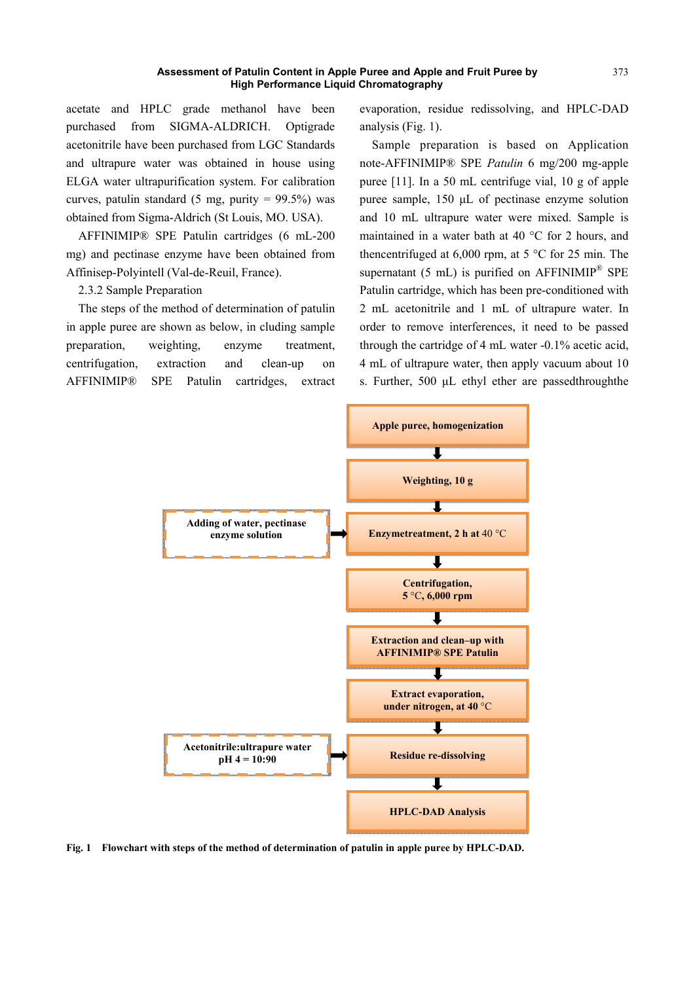acetate and HPLC grade methanol have been purchased from SIGMA-ALDRICH. Optigrade acetonitrile have been purchased from LGC Standards and ultrapure water was obtained in house using ELGA water ultrapurification system. For calibration curves, patulin standard (5 mg, purity =  $99.5\%$ ) was obtained from Sigma-Aldrich (St Louis, MO. USA).

AFFINIMIP® SPE Patulin cartridges (6 mL-200 mg) and pectinase enzyme have been obtained from Affinisep-Polyintell (Val-de-Reuil, France).

2.3.2 Sample Preparation

The steps of the method of determination of patulin in apple puree are shown as below, in cluding sample preparation, weighting, enzyme treatment, centrifugation, extraction and clean-up on AFFINIMIP® SPE Patulin cartridges, extract evaporation, residue redissolving, and HPLC-DAD analysis (Fig. 1).

Sample preparation is based on Application note-AFFINIMIP® SPE *Patulin* 6 mg/200 mg-apple puree [11]. In a 50 mL centrifuge vial, 10 g of apple puree sample, 150 μL of pectinase enzyme solution and 10 mL ultrapure water were mixed. Sample is maintained in a water bath at 40 °C for 2 hours, and thencentrifuged at  $6,000$  rpm, at  $5^{\circ}$ C for 25 min. The supernatant (5 mL) is purified on AFFINIMIP® SPE Patulin cartridge, which has been pre-conditioned with 2 mL acetonitrile and 1 mL of ultrapure water. In order to remove interferences, it need to be passed through the cartridge of 4 mL water -0.1% acetic acid, 4 mL of ultrapure water, then apply vacuum about 10 s. Further, 500 μL ethyl ether are passedthroughthe



**Fig. 1 Flowchart with steps of the method of determination of patulin in apple puree by HPLC-DAD.**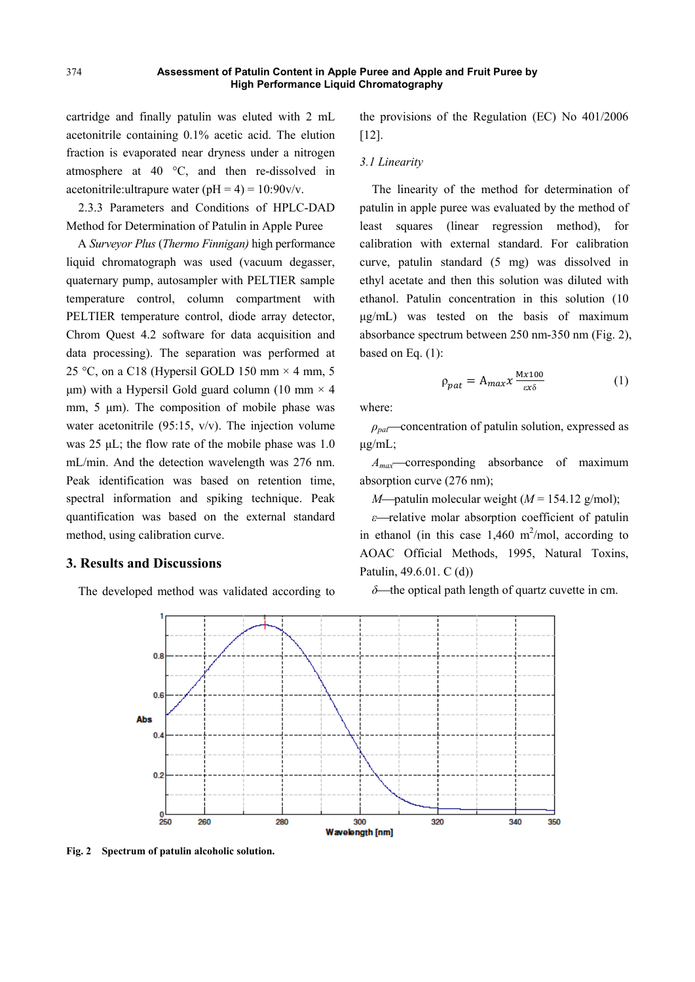cartridge and finally patulin was eluted with 2 mL acetonitrile containing 0.1% acetic acid. The elution fraction is evaporated near dryness under a nitrogen atmosphere at 40 °C, and then re-dissolved in acetonitrile:ultrapure water  $(pH = 4) = 10:90v/v$ .

2.3.3 Parameters and Conditions of HPLC-DAD Method for Determination of Patulin in Apple Puree

A *Surveyor Plus* (*Thermo Finnigan)* high performance liquid chromatograph was used (vacuum degasser, quaternary pump, autosampler with PELTIER sample temperature control, column compartment with PELTIER temperature control, diode array detector, Chrom Quest 4.2 software for data acquisition and data processing). The separation was performed at 25 °C, on a C18 (Hypersil GOLD 150 mm  $\times$  4 mm, 5 μm) with a Hypersil Gold guard column (10 mm  $\times$  4 mm, 5 μm). The composition of mobile phase was water acetonitrile (95:15, v/v). The injection volume was 25 μL; the flow rate of the mobile phase was 1.0 mL/min. And the detection wavelength was 276 nm. Peak identification was based on retention time, spectral information and spiking technique. Peak quantification was based on the external standard method, using calibration curve.

## **3. Results and Discussions**

The developed method was validated according to

the provisions of the Regulation (EC) No 401/2006 [12].

#### *3.1 Linearity*

The linearity of the method for determination of patulin in apple puree was evaluated by the method of least squares (linear regression method), for calibration with external standard. For calibration curve, patulin standard (5 mg) was dissolved in ethyl acetate and then this solution was diluted with ethanol. Patulin concentration in this solution (10 μg/mL) was tested on the basis of maximum absorbance spectrum between 250 nm-350 nm (Fig. 2), based on Eq. (1):

$$
\rho_{pat} = A_{max} x \frac{Mx100}{\epsilon x \delta} \tag{1}
$$

where:

 $\rho_{\textit{part}}$  concentration of patulin solution, expressed as μg/mL;

*A<sub>max</sub>*—corresponding absorbance of maximum absorption curve (276 nm);

*M*—patulin molecular weight ( $M = 154.12$  g/mol);

*ε*—relative molar absorption coefficient of patulin in ethanol (in this case  $1,460$  m<sup>2</sup>/mol, according to AOAC Official Methods, 1995, Natural Toxins, Patulin, 49.6.01. C (d))

*δ*—the optical path length of quartz cuvette in cm.



**Fig. 2 Spectrum of patulin alcoholic solution.**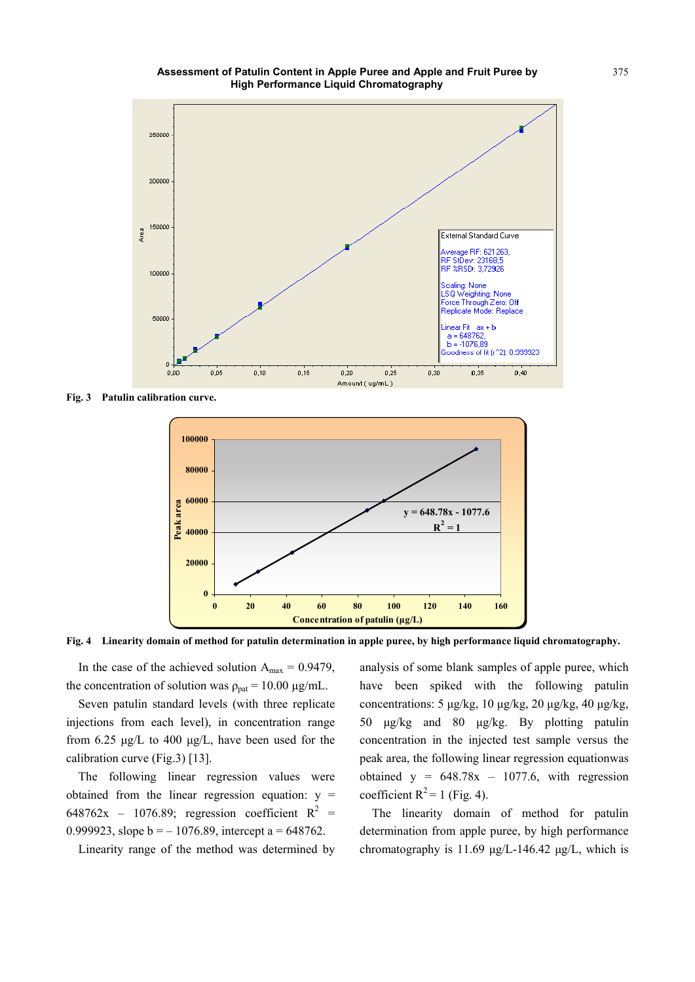

**Fig. 3 Patulin calibration curve.** 



**Fig. 4 Linearity domain of method for patulin determination in apple puree, by high performance liquid chromatography.** 

In the case of the achieved solution  $A_{max} = 0.9479$ , the concentration of solution was  $\rho_{\text{pat}} = 10.00 \text{ µg/mL}$ .

Seven patulin standard levels (with three replicate injections from each level), in concentration range from 6.25 μg/L to 400 μg/L, have been used for the calibration curve (Fig.3) [13].

The following linear regression values were obtained from the linear regression equation:  $y =$ 648762x – 1076.89; regression coefficient  $R^2$  = 0.999923, slope  $b = -1076.89$ , intercept a = 648762.

Linearity range of the method was determined by

analysis of some blank samples of apple puree, which have been spiked with the following patulin concentrations: 5 μg/kg, 10 μg/kg, 20 μg/kg, 40 μg/kg, 50 μg/kg and 80 μg/kg. By plotting patulin concentration in the injected test sample versus the peak area, the following linear regression equationwas obtained  $y = 648.78x - 1077.6$ , with regression coefficient  $R^2 = 1$  (Fig. 4).

The linearity domain of method for patulin determination from apple puree, by high performance chromatography is 11.69 μg/L-146.42 μg/L, which is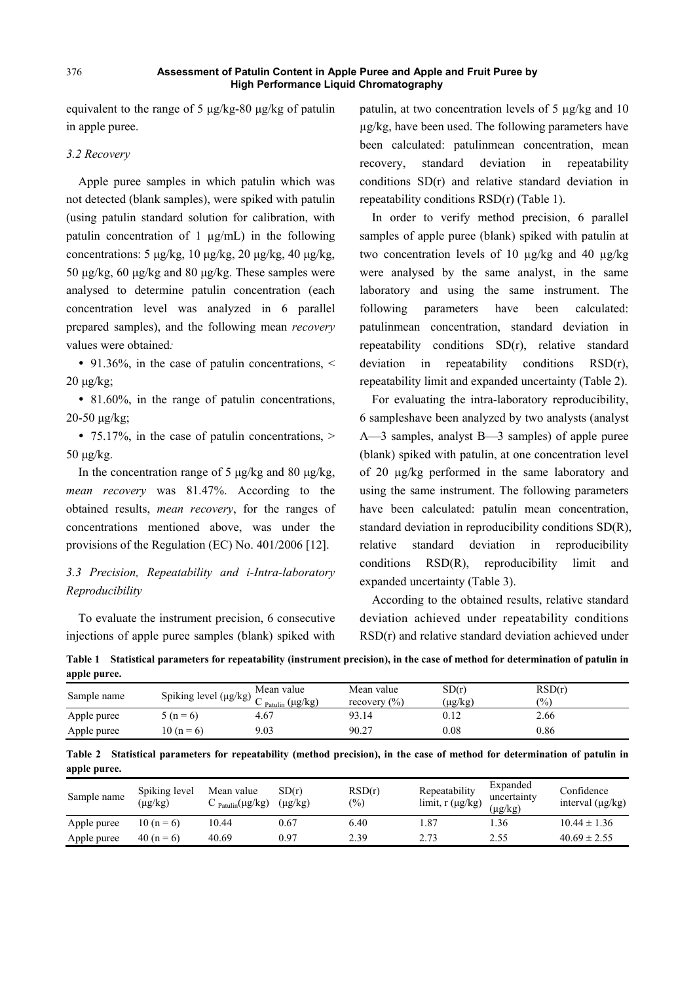equivalent to the range of 5 μg/kg-80 μg/kg of patulin in apple puree.

## *3.2 Recovery*

Apple puree samples in which patulin which was not detected (blank samples), were spiked with patulin (using patulin standard solution for calibration, with patulin concentration of 1  $\mu$ g/mL) in the following concentrations: 5 μg/kg, 10 μg/kg, 20 μg/kg, 40 μg/kg, 50 μg/kg, 60 μg/kg and 80 μg/kg. These samples were analysed to determine patulin concentration (each concentration level was analyzed in 6 parallel prepared samples), and the following mean *recovery*  values were obtained*:* 

• 91.36%, in the case of patulin concentrations,  $\leq$  $20 \mu$ g/kg;

• 81.60%, in the range of patulin concentrations, 20-50 μg/kg;

• 75.17%, in the case of patulin concentrations,  $>$ 50 μg/kg.

In the concentration range of 5 μg/kg and 80 μg/kg, *mean recovery* was 81.47%. According to the obtained results, *mean recovery*, for the ranges of concentrations mentioned above, was under the provisions of the Regulation (EC) No. 401/2006 [12].

# *3.3 Precision, Repeatability and i-Intra-laboratory Reproducibility*

To evaluate the instrument precision, 6 consecutive injections of apple puree samples (blank) spiked with patulin, at two concentration levels of 5 µg/kg and 10 µg/kg, have been used. The following parameters have been calculated: patulinmean concentration, mean recovery, standard deviation in repeatability conditions SD(r) and relative standard deviation in repeatability conditions RSD(r) (Table 1).

In order to verify method precision, 6 parallel samples of apple puree (blank) spiked with patulin at two concentration levels of 10 µg/kg and 40 µg/kg were analysed by the same analyst, in the same laboratory and using the same instrument. The following parameters have been calculated: patulinmean concentration, standard deviation in repeatability conditions SD(r), relative standard deviation in repeatability conditions RSD(r), repeatability limit and expanded uncertainty (Table 2).

For evaluating the intra-laboratory reproducibility, 6 sampleshave been analyzed by two analysts (analyst A—3 samples, analyst B—3 samples) of apple puree (blank) spiked with patulin, at one concentration level of 20 µg/kg performed in the same laboratory and using the same instrument. The following parameters have been calculated: patulin mean concentration, standard deviation in reproducibility conditions SD(R), relative standard deviation in reproducibility conditions RSD(R), reproducibility limit and expanded uncertainty (Table 3).

According to the obtained results, relative standard deviation achieved under repeatability conditions RSD(r) and relative standard deviation achieved under

| upply purve. |                                      |                                              |                                |                  |                         |  |  |
|--------------|--------------------------------------|----------------------------------------------|--------------------------------|------------------|-------------------------|--|--|
| Sample name  | Spiking level ( $\mu$ g/kg) $\Gamma$ | Mean value<br>$P_{\text{atulin}} (\mu g/kg)$ | Mean value<br>recovery $(\% )$ | SD(r)<br>(µg/kg) | RSD(r)<br>$\frac{1}{2}$ |  |  |
| Apple puree  | $5(n=6)$                             | 4.67                                         | 93.14                          | 0.12             | 2.66                    |  |  |
| Apple puree  | 10 ( $n = 6$ )                       | 9.03                                         | 90.27                          | $_{0.08}$        | 0.86                    |  |  |

**Table 1 Statistical parameters for repeatability (instrument precision), in the case of method for determination of patulin in apple puree.** 

**Table 2 Statistical parameters for repeatability (method precision), in the case of method for determination of patulin in apple puree.** 

| Sample name | Spiking level<br>$(\mu$ g/kg) | Mean value<br>$\sum$ Patulin(µg/kg) | SD(r)<br>$(\mu$ g/kg) | RSD(r)<br>$(\%)$ | Repeatability<br>limit, $r(\mu g/kg)$ | Expanded<br>uncertainty<br>$(\mu g/kg)$ | Confidence<br>interval $(\mu g/kg)$ |
|-------------|-------------------------------|-------------------------------------|-----------------------|------------------|---------------------------------------|-----------------------------------------|-------------------------------------|
| Apple puree | 10 ( $n = 6$ )                | 10.44                               | 0.67                  | 6.40             | 87.،                                  | .36                                     | $10.44 \pm 1.36$                    |
| Apple puree | $40(n=6)$                     | 40.69                               | 0.97                  | 2.39             | 2.73                                  | 2.55                                    | $40.69 \pm 2.55$                    |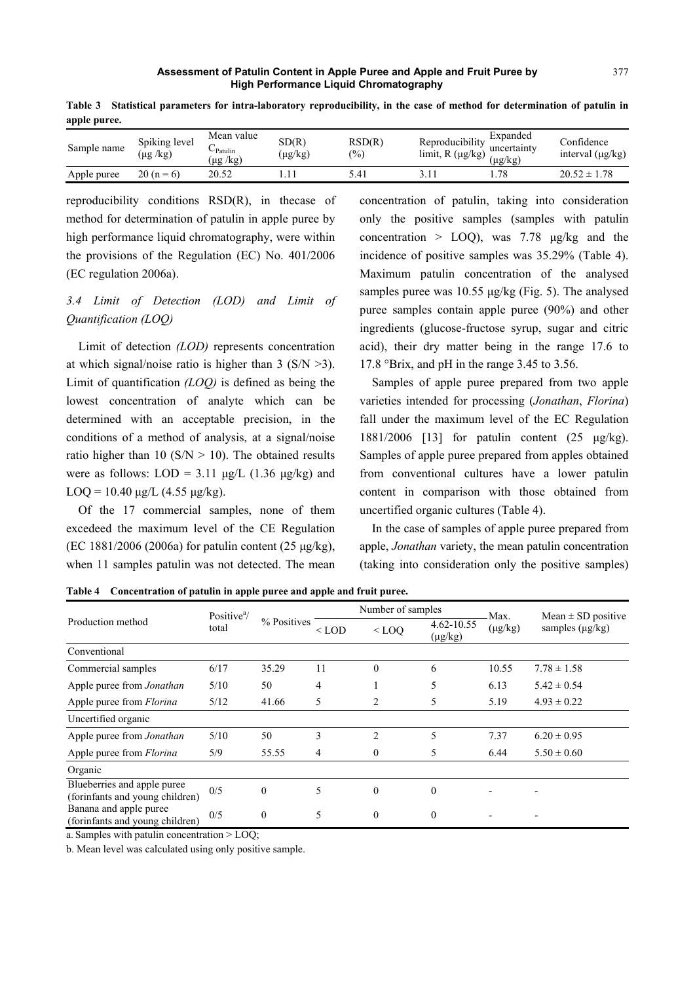| . .         |                                 |                                      |                       |                         |                                         |                                                 |                                     |
|-------------|---------------------------------|--------------------------------------|-----------------------|-------------------------|-----------------------------------------|-------------------------------------------------|-------------------------------------|
| Sample name | Spiking level<br>$(\mu g / kg)$ | Mean value<br>-Patulin<br>(kg)<br>μg | SD(R)<br>$(\mu g/kg)$ | RSD(R)<br>$\frac{1}{2}$ | Reproducibility<br>limit, $R(\mu g/kg)$ | Expanded<br>11.111<br>uncertainty<br>$\mu g/kg$ | Confidence<br>interval $(\mu g/kg)$ |
| Apple puree | $20(n=6)$                       | 20.52                                |                       | 5.41                    | $\sim$                                  | .78                                             | $20.52 \pm$<br>1.78                 |

**Table 3 Statistical parameters for intra-laboratory reproducibility, in the case of method for determination of patulin in apple puree.** 

reproducibility conditions RSD(R), in thecase of method for determination of patulin in apple puree by high performance liquid chromatography, were within the provisions of the Regulation (EC) No. 401/2006 (EC regulation 2006a).

# *3.4 Limit of Detection (LOD) and Limit of Quantification (LOQ)*

Limit of detection *(LOD)* represents concentration at which signal/noise ratio is higher than 3 ( $S/N > 3$ ). Limit of quantification *(LOQ)* is defined as being the lowest concentration of analyte which can be determined with an acceptable precision, in the conditions of a method of analysis, at a signal/noise ratio higher than 10 ( $S/N > 10$ ). The obtained results were as follows:  $LOD = 3.11 \mu g/L$  (1.36  $\mu g/kg$ ) and LOQ = 10.40  $\mu$ g/L (4.55  $\mu$ g/kg).

Of the 17 commercial samples, none of them excedeed the maximum level of the CE Regulation (EC 1881/2006 (2006a) for patulin content (25 μg/kg), when 11 samples patulin was not detected. The mean concentration of patulin, taking into consideration only the positive samples (samples with patulin concentration  $>$  LOO), was 7.78 μg/kg and the incidence of positive samples was 35.29% (Table 4). Maximum patulin concentration of the analysed samples puree was 10.55 μg/kg (Fig. 5). The analysed puree samples contain apple puree (90%) and other ingredients (glucose-fructose syrup, sugar and citric acid), their dry matter being in the range 17.6 to 17.8 °Brix, and pH in the range 3.45 to 3.56.

Samples of apple puree prepared from two apple varieties intended for processing (*Jonathan*, *Florina*) fall under the maximum level of the EC Regulation 1881/2006 [13] for patulin content (25 μg/kg). Samples of apple puree prepared from apples obtained from conventional cultures have a lower patulin content in comparison with those obtained from uncertified organic cultures (Table 4).

In the case of samples of apple puree prepared from apple, *Jonathan* variety, the mean patulin concentration (taking into consideration only the positive samples)

**Table 4 Concentration of patulin in apple puree and apple and fruit puree.** 

|                                                                | Positive $\alpha$ /<br>total   | % Positives  | Number of samples |              |                            | Max.         | Mean $\pm$ SD positive   |  |
|----------------------------------------------------------------|--------------------------------|--------------|-------------------|--------------|----------------------------|--------------|--------------------------|--|
| Production method                                              |                                |              | $<$ LOD           | $<$ LOO      | 4.62-10.55<br>$(\mu g/kg)$ | $(\mu g/kg)$ | samples $(\mu g/kg)$     |  |
| Conventional                                                   |                                |              |                   |              |                            |              |                          |  |
| Commercial samples                                             | 6/17                           | 35.29        | 11                | $\theta$     | 6                          | 10.55        | $7.78 \pm 1.58$          |  |
| Apple puree from Jonathan                                      | 5/10                           | 50           | 4                 |              | 5                          | 6.13         | $5.42 \pm 0.54$          |  |
| Apple puree from Florina                                       | 5/12                           | 41.66        | 5                 | 2            | 5                          | 5.19         | $4.93 \pm 0.22$          |  |
| Uncertified organic                                            |                                |              |                   |              |                            |              |                          |  |
| Apple puree from Jonathan                                      | 5/10                           | 50           | 3                 | 2            | 5                          | 7.37         | $6.20 \pm 0.95$          |  |
| Apple puree from Florina                                       | 5/9                            | 55.55        | 4                 | $\mathbf{0}$ | 5                          | 6.44         | $5.50 \pm 0.60$          |  |
| Organic                                                        |                                |              |                   |              |                            |              |                          |  |
| Blueberries and apple puree<br>(forinfants and young children) | 0/5                            | $\mathbf{0}$ | 5                 | $\theta$     | $\theta$                   |              |                          |  |
| Banana and apple puree<br>(forinfants and young children)      | 0/5                            | $\mathbf{0}$ | 5                 | $\theta$     | $\theta$                   |              | $\overline{\phantom{a}}$ |  |
| $0 \t 1 \t 1 \t 11 \t 11$                                      | $\mathbf{r} \wedge \mathbf{r}$ |              |                   |              |                            |              |                          |  |

a. Samples with patulin concentration > LOQ;

b. Mean level was calculated using only positive sample.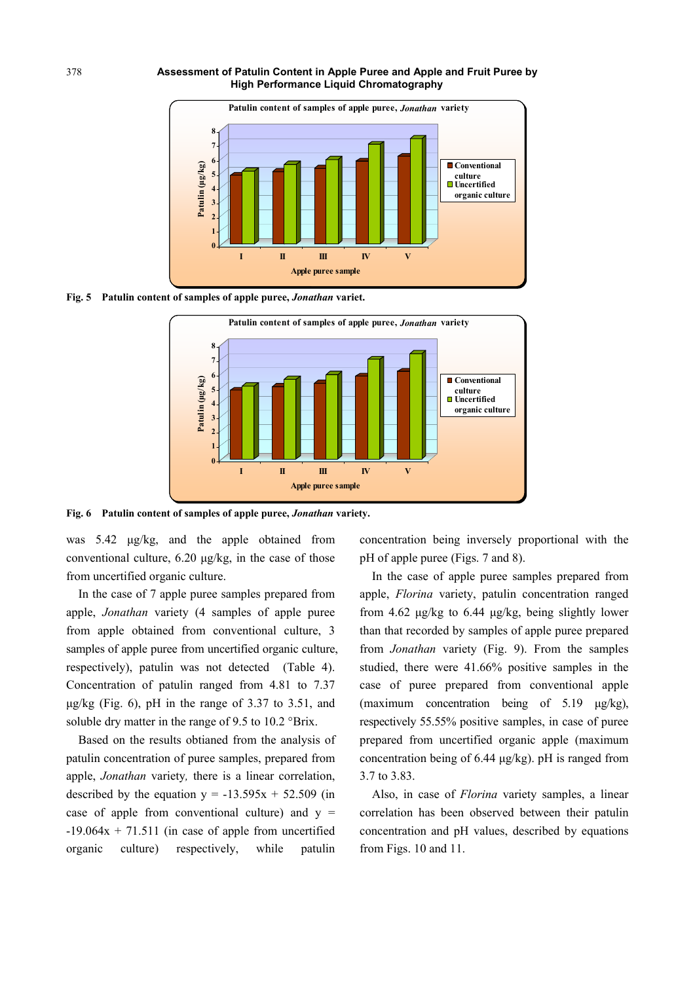

**Fig. 5 Patulin content of samples of apple puree,** *Jonathan* **variet.** 



**Fig. 6 Patulin content of samples of apple puree,** *Jonathan* **variety.** 

was 5.42 μg/kg, and the apple obtained from conventional culture, 6.20 μg/kg, in the case of those from uncertified organic culture.

In the case of 7 apple puree samples prepared from apple, *Jonathan* variety (4 samples of apple puree from apple obtained from conventional culture, 3 samples of apple puree from uncertified organic culture, respectively), patulin was not detected (Table 4). Concentration of patulin ranged from 4.81 to 7.37 μg/kg (Fig. 6), pH in the range of 3.37 to 3.51, and soluble dry matter in the range of 9.5 to 10.2 °Brix.

Based on the results obtianed from the analysis of patulin concentration of puree samples, prepared from apple, *Jonathan* variety*,* there is a linear correlation, described by the equation  $y = -13.595x + 52.509$  (in case of apple from conventional culture) and  $y =$  $-19.064x + 71.511$  (in case of apple from uncertified organic culture) respectively, while patulin

concentration being inversely proportional with the pH of apple puree (Figs. 7 and 8).

In the case of apple puree samples prepared from apple, *Florina* variety, patulin concentration ranged from 4.62 μg/kg to 6.44 μg/kg, being slightly lower than that recorded by samples of apple puree prepared from *Jonathan* variety (Fig. 9). From the samples studied, there were 41.66% positive samples in the case of puree prepared from conventional apple (maximum concentration being of 5.19 μg/kg), respectively 55.55% positive samples, in case of puree prepared from uncertified organic apple (maximum concentration being of 6.44 μg/kg). pH is ranged from 3.7 to 3.83.

Also, in case of *Florina* variety samples, a linear correlation has been observed between their patulin concentration and pH values, described by equations from Figs. 10 and 11.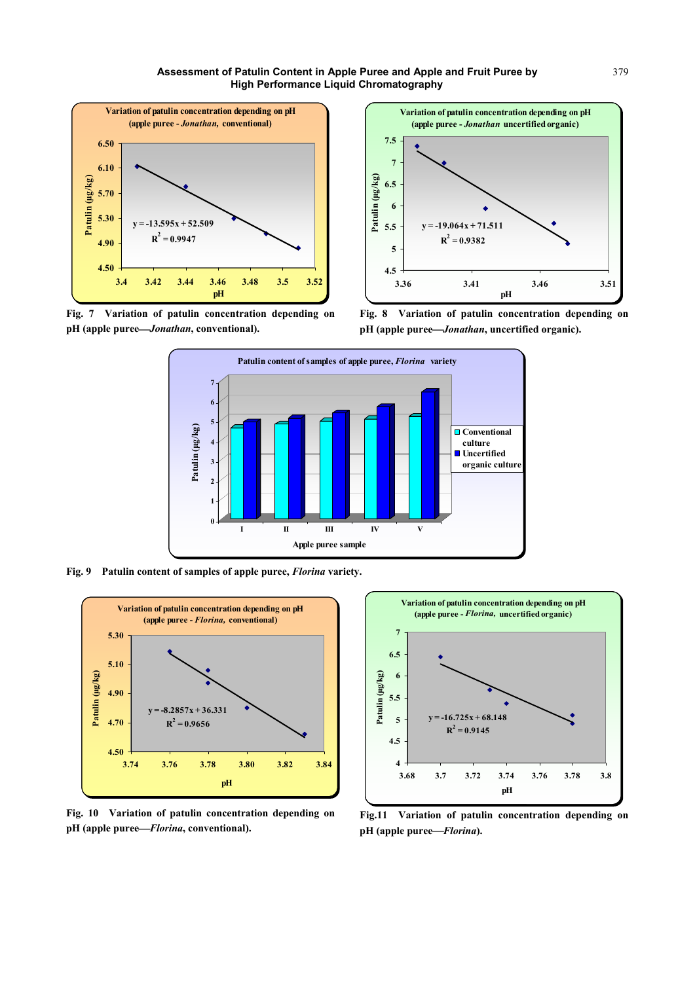







**Fig. 8 Variation of patulin concentration depending on pH (apple puree***Jonathan***, uncertified organic).** 



**Fig. 9 Patulin content of samples of apple puree,** *Florina* **variety.** 



**Fig. 10 Variation of patulin concentration depending on pH (apple puree***Florina***, conventional).** 



**Fig.11 Variation of patulin concentration depending on pH (apple puree***Florina***).**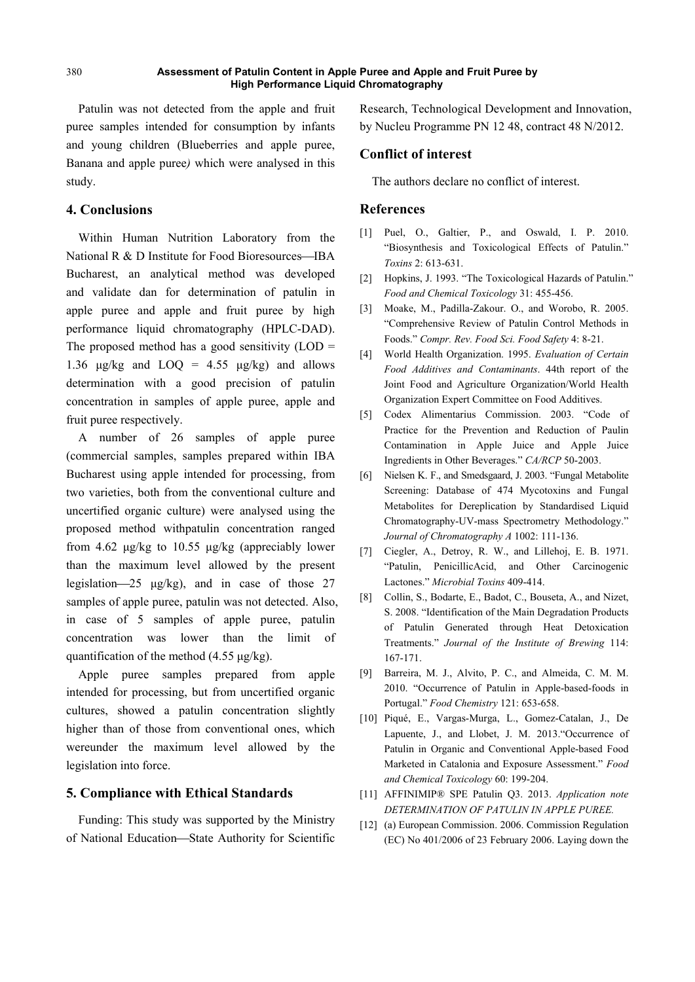Patulin was not detected from the apple and fruit puree samples intended for consumption by infants and young children (Blueberries and apple puree, Banana and apple puree*)* which were analysed in this study.

# **4. Conclusions**

Within Human Nutrition Laboratory from the National  $R \& D$  Institute for Food Bioresources—IBA Bucharest, an analytical method was developed and validate dan for determination of patulin in apple puree and apple and fruit puree by high performance liquid chromatography (HPLC-DAD). The proposed method has a good sensitivity  $(LOD =$ 1.36  $\mu$ g/kg and LOO = 4.55  $\mu$ g/kg) and allows determination with a good precision of patulin concentration in samples of apple puree, apple and fruit puree respectively.

A number of 26 samples of apple puree (commercial samples, samples prepared within IBA Bucharest using apple intended for processing, from two varieties, both from the conventional culture and uncertified organic culture) were analysed using the proposed method withpatulin concentration ranged from 4.62 μg/kg to 10.55 μg/kg (appreciably lower than the maximum level allowed by the present legislation—25 μg/kg), and in case of those 27 samples of apple puree, patulin was not detected. Also, in case of 5 samples of apple puree, patulin concentration was lower than the limit of quantification of the method (4.55 μg/kg).

Apple puree samples prepared from apple intended for processing, but from uncertified organic cultures, showed a patulin concentration slightly higher than of those from conventional ones, which wereunder the maximum level allowed by the legislation into force.

# **5. Compliance with Ethical Standards**

Funding: This study was supported by the Ministry of National Education-State Authority for Scientific Research, Technological Development and Innovation, by Nucleu Programme PN 12 48, contract 48 N/2012.

## **Conflict of interest**

The authors declare no conflict of interest.

## **References**

- [1] Puel, O., Galtier, P., and Oswald, I. P. 2010. "Biosynthesis and Toxicological Effects of Patulin." *Toxins* 2: 613-631.
- [2] Hopkins, J. 1993. "The Toxicological Hazards of Patulin." *Food and Chemical Toxicology* 31: 455-456.
- [3] Moake, M., Padilla-Zakour. O., and Worobo, R. 2005. "Comprehensive Review of Patulin Control Methods in Foods." *Compr. Rev. Food Sci. Food Safety* 4: 8-21.
- [4] World Health Organization. 1995. *Evaluation of Certain Food Additives and Contaminants*. 44th report of the Joint Food and Agriculture Organization/World Health Organization Expert Committee on Food Additives.
- [5] Codex Alimentarius Commission. 2003. "Code of Practice for the Prevention and Reduction of Paulin Contamination in Apple Juice and Apple Juice Ingredients in Other Beverages." *CA/RCP* 50-2003.
- [6] Nielsen K. F., and Smedsgaard, J. 2003. "Fungal Metabolite Screening: Database of 474 Mycotoxins and Fungal Metabolites for Dereplication by Standardised Liquid Chromatography-UV-mass Spectrometry Methodology." *Journal of Chromatography A* 1002: 111-136.
- [7] Ciegler, A., Detroy, R. W., and Lillehoj, E. B. 1971. "Patulin, PenicillicAcid, and Other Carcinogenic Lactones." *Microbial Toxins* 409-414.
- [8] Collin, S., Bodarte, E., Badot, C., Bouseta, A., and Nizet, S. 2008. "Identification of the Main Degradation Products of Patulin Generated through Heat Detoxication Treatments." *Journal of the Institute of Brewing* 114: 167-171.
- [9] Barreira, M. J., Alvito, P. C., and Almeida, C. M. M. 2010. "Occurrence of Patulin in Apple-based-foods in Portugal." *Food Chemistry* 121: 653-658.
- [10] Piqué, E., Vargas-Murga, L., Gomez-Catalan, J., De Lapuente, J., and Llobet, J. M. 2013."Occurrence of Patulin in Organic and Conventional Apple-based Food Marketed in Catalonia and Exposure Assessment." *Food and Chemical Toxicology* 60: 199-204.
- [11] AFFINIMIP® SPE Patulin Q3. 2013. *Application note DETERMINATION OF PATULIN IN APPLE PUREE.*
- [12] (a) European Commission. 2006. Commission Regulation (EC) No 401/2006 of 23 February 2006. Laying down the